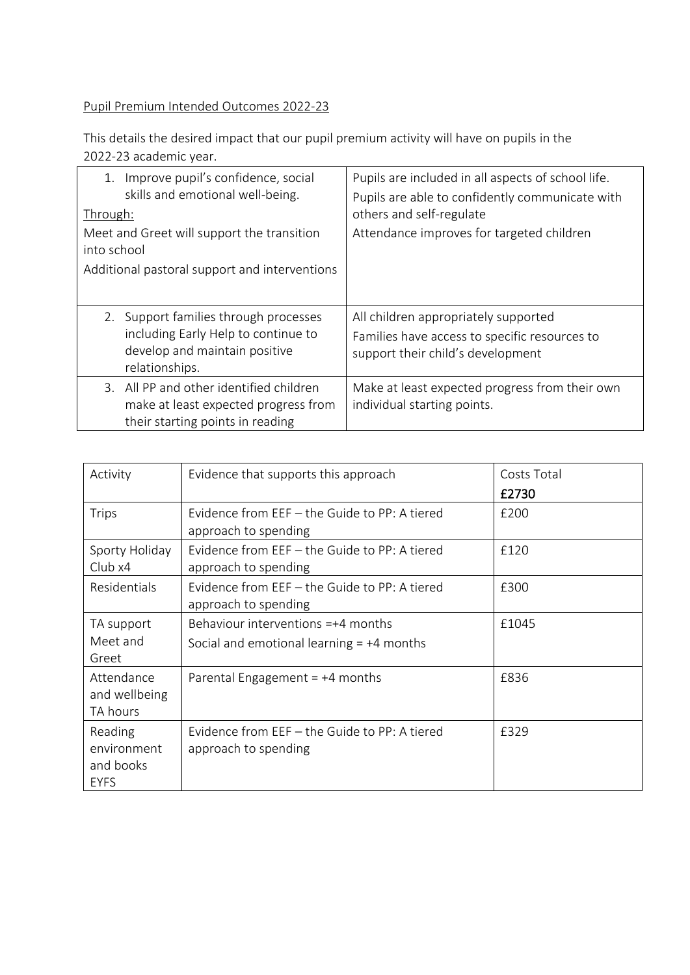## Pupil Premium Intended Outcomes 2022-23

This details the desired impact that our pupil premium activity will have on pupils in the 2022-23 academic year.

| Improve pupil's confidence, social<br>1.<br>skills and emotional well-being.<br>Through:                                        | Pupils are included in all aspects of school life.<br>Pupils are able to confidently communicate with<br>others and self-regulate |
|---------------------------------------------------------------------------------------------------------------------------------|-----------------------------------------------------------------------------------------------------------------------------------|
| Meet and Greet will support the transition<br>into school<br>Additional pastoral support and interventions                      | Attendance improves for targeted children                                                                                         |
| 2. Support families through processes<br>including Early Help to continue to<br>develop and maintain positive<br>relationships. | All children appropriately supported<br>Families have access to specific resources to<br>support their child's development        |
| 3. All PP and other identified children<br>make at least expected progress from<br>their starting points in reading             | Make at least expected progress from their own<br>individual starting points.                                                     |

| Activity                                           | Evidence that supports this approach                                                | Costs Total<br>£2730 |
|----------------------------------------------------|-------------------------------------------------------------------------------------|----------------------|
| <b>Trips</b>                                       | Evidence from EEF - the Guide to PP: A tiered<br>approach to spending               | £200                 |
| Sporty Holiday<br>Clubx4                           | Evidence from EEF $-$ the Guide to PP: A tiered<br>approach to spending             | £120                 |
| Residentials                                       | Evidence from EEF – the Guide to PP: A tiered<br>approach to spending               | £300                 |
| TA support<br>Meet and<br>Greet                    | Behaviour interventions $=+4$ months<br>Social and emotional learning $= +4$ months | £1045                |
| Attendance<br>and wellbeing<br>TA hours            | Parental Engagement $= +4$ months                                                   | £836                 |
| Reading<br>environment<br>and books<br><b>EYFS</b> | Evidence from EEF - the Guide to PP: A tiered<br>approach to spending               | £329                 |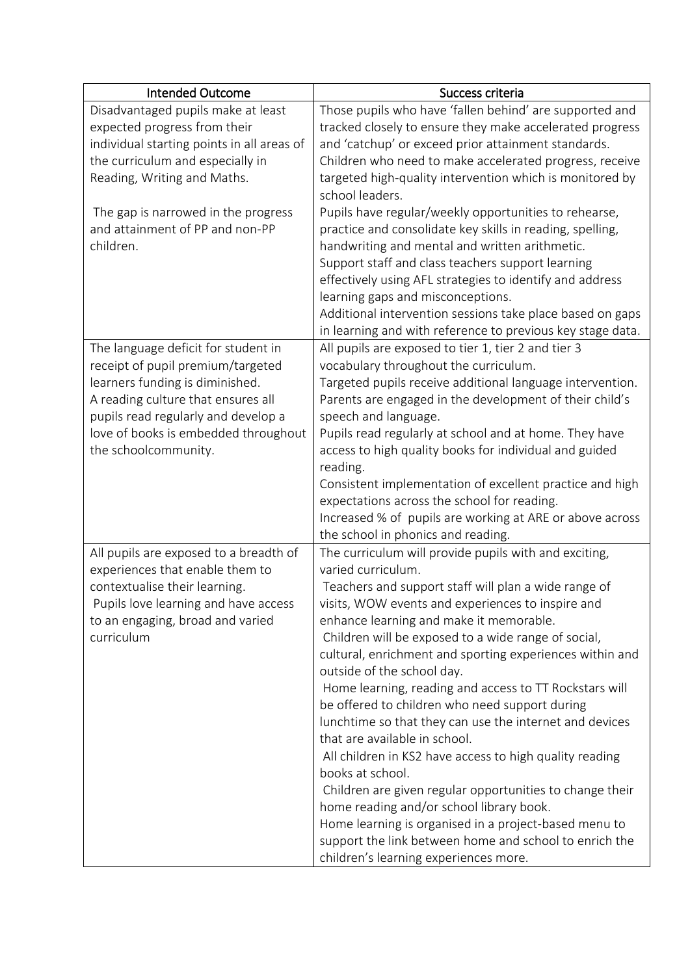| <b>Intended Outcome</b>                    | Success criteria                                                                               |
|--------------------------------------------|------------------------------------------------------------------------------------------------|
| Disadvantaged pupils make at least         | Those pupils who have 'fallen behind' are supported and                                        |
| expected progress from their               | tracked closely to ensure they make accelerated progress                                       |
| individual starting points in all areas of | and 'catchup' or exceed prior attainment standards.                                            |
| the curriculum and especially in           | Children who need to make accelerated progress, receive                                        |
| Reading, Writing and Maths.                | targeted high-quality intervention which is monitored by                                       |
|                                            | school leaders.                                                                                |
| The gap is narrowed in the progress        | Pupils have regular/weekly opportunities to rehearse,                                          |
| and attainment of PP and non-PP            | practice and consolidate key skills in reading, spelling,                                      |
| children.                                  | handwriting and mental and written arithmetic.                                                 |
|                                            | Support staff and class teachers support learning                                              |
|                                            | effectively using AFL strategies to identify and address                                       |
|                                            | learning gaps and misconceptions.                                                              |
|                                            | Additional intervention sessions take place based on gaps                                      |
|                                            | in learning and with reference to previous key stage data.                                     |
| The language deficit for student in        | All pupils are exposed to tier 1, tier 2 and tier 3                                            |
| receipt of pupil premium/targeted          | vocabulary throughout the curriculum.                                                          |
| learners funding is diminished.            | Targeted pupils receive additional language intervention.                                      |
| A reading culture that ensures all         | Parents are engaged in the development of their child's                                        |
| pupils read regularly and develop a        | speech and language.                                                                           |
| love of books is embedded throughout       | Pupils read regularly at school and at home. They have                                         |
| the schoolcommunity.                       | access to high quality books for individual and guided                                         |
|                                            | reading.                                                                                       |
|                                            | Consistent implementation of excellent practice and high                                       |
|                                            | expectations across the school for reading.                                                    |
|                                            | Increased % of pupils are working at ARE or above across<br>the school in phonics and reading. |
| All pupils are exposed to a breadth of     | The curriculum will provide pupils with and exciting,                                          |
| experiences that enable them to            | varied curriculum.                                                                             |
| contextualise their learning.              | Teachers and support staff will plan a wide range of                                           |
| Pupils love learning and have access       | visits, WOW events and experiences to inspire and                                              |
| to an engaging, broad and varied           | enhance learning and make it memorable.                                                        |
| curriculum                                 | Children will be exposed to a wide range of social,                                            |
|                                            | cultural, enrichment and sporting experiences within and                                       |
|                                            | outside of the school day.                                                                     |
|                                            | Home learning, reading and access to TT Rockstars will                                         |
|                                            | be offered to children who need support during                                                 |
|                                            | lunchtime so that they can use the internet and devices                                        |
|                                            | that are available in school.                                                                  |
|                                            | All children in KS2 have access to high quality reading                                        |
|                                            | books at school.                                                                               |
|                                            | Children are given regular opportunities to change their                                       |
|                                            | home reading and/or school library book.                                                       |
|                                            | Home learning is organised in a project-based menu to                                          |
|                                            | support the link between home and school to enrich the                                         |
|                                            | children's learning experiences more.                                                          |